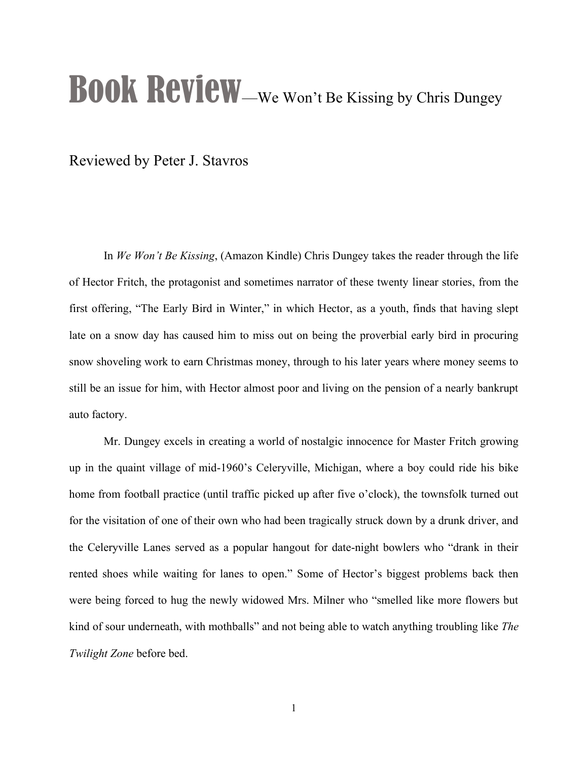## BOOK ReVIEW-We Won't Be Kissing by Chris Dungey

Reviewed by Peter J. Stavros

In *We Won't Be Kissing*, (Amazon Kindle) Chris Dungey takes the reader through the life of Hector Fritch, the protagonist and sometimes narrator of these twenty linear stories, from the first offering, "The Early Bird in Winter," in which Hector, as a youth, finds that having slept late on a snow day has caused him to miss out on being the proverbial early bird in procuring snow shoveling work to earn Christmas money, through to his later years where money seems to still be an issue for him, with Hector almost poor and living on the pension of a nearly bankrupt auto factory.

Mr. Dungey excels in creating a world of nostalgic innocence for Master Fritch growing up in the quaint village of mid-1960's Celeryville, Michigan, where a boy could ride his bike home from football practice (until traffic picked up after five o'clock), the townsfolk turned out for the visitation of one of their own who had been tragically struck down by a drunk driver, and the Celeryville Lanes served as a popular hangout for date-night bowlers who "drank in their rented shoes while waiting for lanes to open." Some of Hector's biggest problems back then were being forced to hug the newly widowed Mrs. Milner who "smelled like more flowers but kind of sour underneath, with mothballs" and not being able to watch anything troubling like *The Twilight Zone* before bed.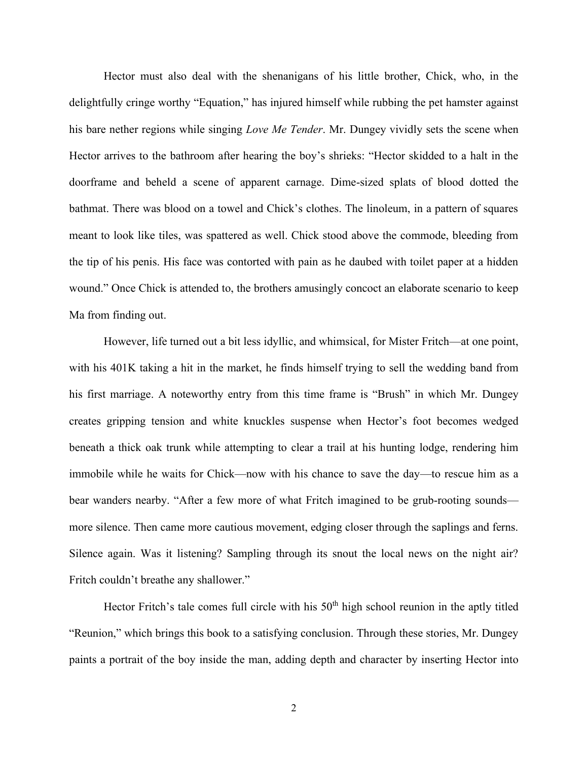Hector must also deal with the shenanigans of his little brother, Chick, who, in the delightfully cringe worthy "Equation," has injured himself while rubbing the pet hamster against his bare nether regions while singing *Love Me Tender*. Mr. Dungey vividly sets the scene when Hector arrives to the bathroom after hearing the boy's shrieks: "Hector skidded to a halt in the doorframe and beheld a scene of apparent carnage. Dime-sized splats of blood dotted the bathmat. There was blood on a towel and Chick's clothes. The linoleum, in a pattern of squares meant to look like tiles, was spattered as well. Chick stood above the commode, bleeding from the tip of his penis. His face was contorted with pain as he daubed with toilet paper at a hidden wound." Once Chick is attended to, the brothers amusingly concoct an elaborate scenario to keep Ma from finding out.

However, life turned out a bit less idyllic, and whimsical, for Mister Fritch—at one point, with his 401K taking a hit in the market, he finds himself trying to sell the wedding band from his first marriage. A noteworthy entry from this time frame is "Brush" in which Mr. Dungey creates gripping tension and white knuckles suspense when Hector's foot becomes wedged beneath a thick oak trunk while attempting to clear a trail at his hunting lodge, rendering him immobile while he waits for Chick—now with his chance to save the day—to rescue him as a bear wanders nearby. "After a few more of what Fritch imagined to be grub-rooting sounds more silence. Then came more cautious movement, edging closer through the saplings and ferns. Silence again. Was it listening? Sampling through its snout the local news on the night air? Fritch couldn't breathe any shallower."

Hector Fritch's tale comes full circle with his  $50<sup>th</sup>$  high school reunion in the aptly titled "Reunion," which brings this book to a satisfying conclusion. Through these stories, Mr. Dungey paints a portrait of the boy inside the man, adding depth and character by inserting Hector into